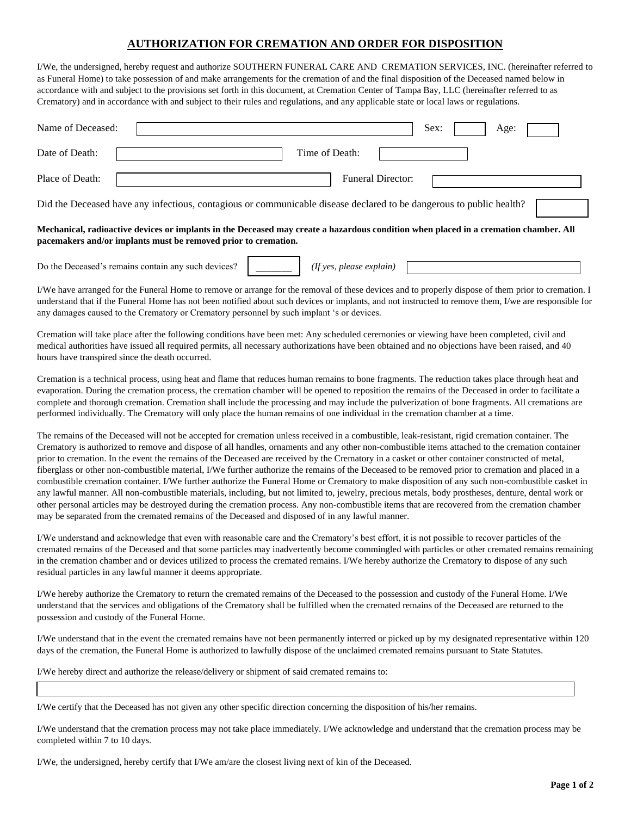## **AUTHORIZATION FOR CREMATION AND ORDER FOR DISPOSITION**

I/We, the undersigned, hereby request and authorize SOUTHERN FUNERAL CARE AND CREMATION SERVICES, INC. (hereinafter referred to as Funeral Home) to take possession of and make arrangements for the cremation of and the final disposition of the Deceased named below in accordance with and subject to the provisions set forth in this document, at Cremation Center of Tampa Bay, LLC (hereinafter referred to as Crematory) and in accordance with and subject to their rules and regulations, and any applicable state or local laws or regulations.

| Name of Deceased:                                                                                                                                                                                      | Sex:<br>Age:             |  |  |  |  |  |
|--------------------------------------------------------------------------------------------------------------------------------------------------------------------------------------------------------|--------------------------|--|--|--|--|--|
| Date of Death:                                                                                                                                                                                         | Time of Death:           |  |  |  |  |  |
| Place of Death:                                                                                                                                                                                        | <b>Funeral Director:</b> |  |  |  |  |  |
| Did the Deceased have any infectious, contagious or communicable disease declared to be dangerous to public health?                                                                                    |                          |  |  |  |  |  |
| Mechanical, radioactive devices or implants in the Deceased may create a hazardous condition when placed in a cremation chamber. All<br>pacemakers and/or implants must be removed prior to cremation. |                          |  |  |  |  |  |

| Do the<br>such devices.<br>, contain any<br>remains<br>leceased | $\gamma$ nuu<br>11 <i>0</i> C<br>nlease |  |
|-----------------------------------------------------------------|-----------------------------------------|--|
|                                                                 |                                         |  |

I/We have arranged for the Funeral Home to remove or arrange for the removal of these devices and to properly dispose of them prior to cremation. I understand that if the Funeral Home has not been notified about such devices or implants, and not instructed to remove them, I/we are responsible for any damages caused to the Crematory or Crematory personnel by such implant 's or devices.

Cremation will take place after the following conditions have been met: Any scheduled ceremonies or viewing have been completed, civil and medical authorities have issued all required permits, all necessary authorizations have been obtained and no objections have been raised, and 40 hours have transpired since the death occurred.

Cremation is a technical process, using heat and flame that reduces human remains to bone fragments. The reduction takes place through heat and evaporation. During the cremation process, the cremation chamber will be opened to reposition the remains of the Deceased in order to facilitate a complete and thorough cremation. Cremation shall include the processing and may include the pulverization of bone fragments. All cremations are performed individually. The Crematory will only place the human remains of one individual in the cremation chamber at a time.

The remains of the Deceased will not be accepted for cremation unless received in a combustible, leak-resistant, rigid cremation container. The Crematory is authorized to remove and dispose of all handles, ornaments and any other non-combustible items attached to the cremation container prior to cremation. In the event the remains of the Deceased are received by the Crematory in a casket or other container constructed of metal, fiberglass or other non-combustible material, I/We further authorize the remains of the Deceased to be removed prior to cremation and placed in a combustible cremation container. I/We further authorize the Funeral Home or Crematory to make disposition of any such non-combustible casket in any lawful manner. All non-combustible materials, including, but not limited to, jewelry, precious metals, body prostheses, denture, dental work or other personal articles may be destroyed during the cremation process. Any non-combustible items that are recovered from the cremation chamber may be separated from the cremated remains of the Deceased and disposed of in any lawful manner.

I/We understand and acknowledge that even with reasonable care and the Crematory's best effort, it is not possible to recover particles of the cremated remains of the Deceased and that some particles may inadvertently become commingled with particles or other cremated remains remaining in the cremation chamber and or devices utilized to process the cremated remains. I/We hereby authorize the Crematory to dispose of any such residual particles in any lawful manner it deems appropriate.

I/We hereby authorize the Crematory to return the cremated remains of the Deceased to the possession and custody of the Funeral Home. I/We understand that the services and obligations of the Crematory shall be fulfilled when the cremated remains of the Deceased are returned to the possession and custody of the Funeral Home.

I/We understand that in the event the cremated remains have not been permanently interred or picked up by my designated representative within 120 days of the cremation, the Funeral Home is authorized to lawfully dispose of the unclaimed cremated remains pursuant to State Statutes.

I/We hereby direct and authorize the release/delivery or shipment of said cremated remains to:

I/We certify that the Deceased has not given any other specific direction concerning the disposition of his/her remains.

I/We understand that the cremation process may not take place immediately. I/We acknowledge and understand that the cremation process may be completed within 7 to 10 days.

I/We, the undersigned, hereby certify that I/We am/are the closest living next of kin of the Deceased*.*